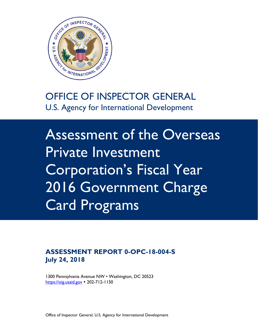

# OFFICE OF INSPECTOR GENERAL U.S. Agency for International Development

Assessment of the Overseas Private Investment Corporation's Fiscal Year 2016 Government Charge Card Programs

#### **ASSESSMENT REPORT 0-OPC-18-004-S July 24, 2018**

1300 Pennsylvania Avenue NW • Washington, DC 20523 [https://oig.usaid.gov](https://oig.usaid.gov/) • 202-712-1150

Office of Inspector General, U.S. Agency for International Development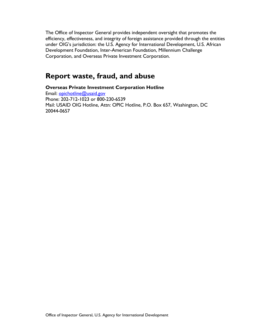The Office of Inspector General provides independent oversight that promotes the efficiency, effectiveness, and integrity of foreign assistance provided through the entities under OIG's jurisdiction: the U.S. Agency for International Development, U.S. African Development Foundation, Inter-American Foundation, Millennium Challenge Corporation, and Overseas Private Investment Corporation.

### **Report waste, fraud, and abuse**

**Overseas Private Investment Corporation Hotline** Email: [opichotline@usaid.gov](mailto:opichotline@usaid.gov) Phone: 202-712-1023 or 800-230-6539 Mail: USAID OIG Hotline, Attn: OPIC Hotline, P.O. Box 657, Washington, DC 20044-0657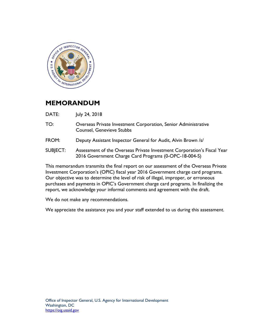

#### **MEMORANDUM**

DATE: July 24, 2018

- TO: Overseas Private Investment Corporation, Senior Administrative Counsel, Genevieve Stubbs
- FROM: Deputy Assistant Inspector General for Audit, Alvin Brown /s/
- SUBJECT: Assessment of the Overseas Private Investment Corporation's Fiscal Year 2016 Government Charge Card Programs (0-OPC-18-004-S)

This memorandum transmits the final report on our assessment of the Overseas Private Investment Corporation's (OPIC) fiscal year 2016 Government charge card programs. Our objective was to determine the level of risk of illegal, improper, or erroneous purchases and payments in OPIC's Government charge card programs. In finalizing the report, we acknowledge your informal comments and agreement with the draft.

We do not make any recommendations.

We appreciate the assistance you and your staff extended to us during this assessment.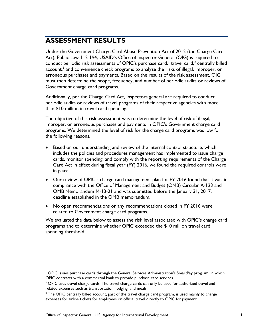# **ASSESSMENT RESULTS**

Under the Government Charge Card Abuse Prevention Act of 2012 (the Charge Card Act), Public Law 112-194, USAID's Office of Inspector General (OIG) is required to conduct periodic risk assessments of OPIC's purchase card,  $^1$  $^1$  travel card,  $^2$  $^2$  centrally billed account,<sup>[3](#page-3-2)</sup> and convenience check programs to analyze the risks of illegal, improper, or erroneous purchases and payments. Based on the results of the risk assessment, OIG must then determine the scope, frequency, and number of periodic audits or reviews of Government charge card programs.

Additionally, per the Charge Card Act, inspectors general are required to conduct periodic audits or reviews of travel programs of their respective agencies with more than \$10 million in travel card spending.

The objective of this risk assessment was to determine the level of risk of illegal, improper, or erroneous purchases and payments in OPIC's Government charge card programs. We determined the level of risk for the charge card programs was low for the following reasons.

- Based on our understanding and review of the internal control structure, which includes the policies and procedures management has implemented to issue charge cards, monitor spending, and comply with the reporting requirements of the Charge Card Act in effect during fiscal year (FY) 2016, we found the required controls were in place.
- Our review of OPIC's charge card management plan for FY 2016 found that it was in compliance with the Office of Management and Budget (OMB) Circular A-123 and OMB Memorandum M-13-21 and was submitted before the January 31, 2017, deadline established in the OMB memorandum.
- No open recommendations or any recommendations closed in FY 2016 were related to Government charge card programs.

We evaluated the data below to assess the risk level associated with OPIC's charge card programs and to determine whether OPIC exceeded the \$10 million travel card spending threshold.

<span id="page-3-0"></span><sup>&</sup>lt;sup>1</sup> OPIC issues purchase cards through the General Services Administration's SmartPay program, in which OPIC contracts with a commercial bank to provide purchase card services.

<span id="page-3-1"></span> $2$  OPIC uses travel charge cards. The travel charge cards can only be used for authorized travel and related expenses such as transportation, lodging, and meals.

<span id="page-3-2"></span><sup>&</sup>lt;sup>3</sup> The OPIC centrally billed account, part of the travel charge card program, is used mainly to charge expenses for airline tickets for employees on official travel directly to OPIC for payment.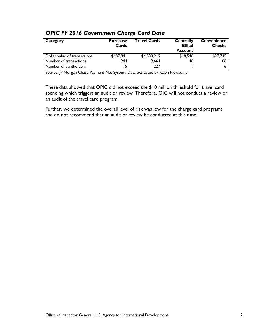| Category                     | <b>Purchase</b><br>Cards | <b>Travel Cards</b> | <b>Centrally</b><br><b>Billed</b><br><b>Account</b> | <b>Convenience</b><br><b>Checks</b> |
|------------------------------|--------------------------|---------------------|-----------------------------------------------------|-------------------------------------|
| Dollar value of transactions | \$687.841                | \$4,530,215         | \$18,546                                            | \$27,745                            |
| Number of transactions       | 944                      | 9.664               | 46                                                  | 166                                 |
| Number of cardholders        |                          | 227                 |                                                     |                                     |

#### *OPIC FY 2016 Government Charge Card Data*

Source: JP Morgan Chase Payment Net System. Data extracted by Ralph Newsome.

These data showed that OPIC did not exceed the \$10 million threshold for travel card spending which triggers an audit or review. Therefore, OIG will not conduct a review or an audit of the travel card program.

Further, we determined the overall level of risk was low for the charge card programs and do not recommend that an audit or review be conducted at this time.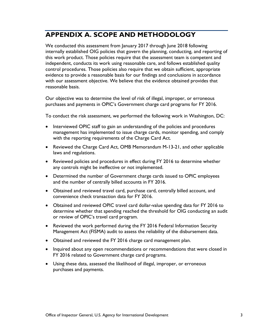## **APPENDIX A. SCOPE AND METHODOLOGY**

We conducted this assessment from January 2017 through June 2018 following internally established OIG policies that govern the planning, conducting, and reporting of this work product. Those policies require that the assessment team is competent and independent, conducts its work using reasonable care, and follows established quality control procedures. Those policies also require that we obtain sufficient, appropriate evidence to provide a reasonable basis for our findings and conclusions in accordance with our assessment objective. We believe that the evidence obtained provides that reasonable basis.

Our objective was to determine the level of risk of illegal, improper, or erroneous purchases and payments in OPIC's Government charge card programs for FY 2016.

To conduct the risk assessment, we performed the following work in Washington, DC:

- Interviewed OPIC staff to gain an understanding of the policies and procedures management has implemented to issue charge cards, monitor spending, and comply with the reporting requirements of the Charge Card Act.
- Reviewed the Charge Card Act, OMB Memorandum M-13-21, and other applicable laws and regulations.
- Reviewed policies and procedures in effect during FY 2016 to determine whether any controls might be ineffective or not implemented.
- Determined the number of Government charge cards issued to OPIC employees and the number of centrally billed accounts in FY 2016.
- Obtained and reviewed travel card, purchase card, centrally billed account, and convenience check transaction data for FY 2016.
- Obtained and reviewed OPIC travel card dollar-value spending data for FY 2016 to determine whether that spending reached the threshold for OIG conducting an audit or review of OPIC's travel card program.
- Reviewed the work performed during the FY 2016 Federal Information Security Management Act (FISMA) audit to assess the reliability of the disbursement data.
- Obtained and reviewed the FY 2016 charge card management plan.
- Inquired about any open recommendations or recommendations that were closed in FY 2016 related to Government charge card programs.
- Using these data, assessed the likelihood of illegal, improper, or erroneous purchases and payments.